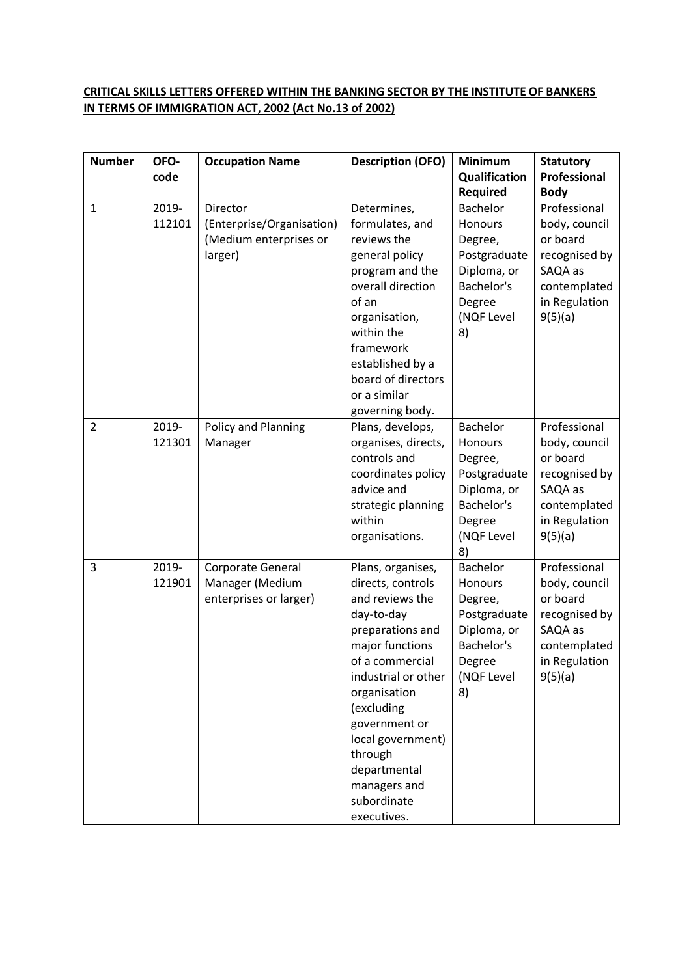## **CRITICAL SKILLS LETTERS OFFERED WITHIN THE BANKING SECTOR BY THE INSTITUTE OF BANKERS IN TERMS OF IMMIGRATION ACT, 2002 (Act No.13 of 2002)**

| <b>Number</b>  | OFO-            | <b>Occupation Name</b>                                                     | <b>Description (OFO)</b>                                                                                                                                                                                                                                                                              | <b>Minimum</b>                                                                                                   | <b>Statutory</b>                                                                                                  |
|----------------|-----------------|----------------------------------------------------------------------------|-------------------------------------------------------------------------------------------------------------------------------------------------------------------------------------------------------------------------------------------------------------------------------------------------------|------------------------------------------------------------------------------------------------------------------|-------------------------------------------------------------------------------------------------------------------|
|                | code            |                                                                            |                                                                                                                                                                                                                                                                                                       | Qualification                                                                                                    | Professional                                                                                                      |
|                |                 |                                                                            |                                                                                                                                                                                                                                                                                                       | <b>Required</b>                                                                                                  | <b>Body</b>                                                                                                       |
| $\mathbf{1}$   | 2019-<br>112101 | Director<br>(Enterprise/Organisation)<br>(Medium enterprises or<br>larger) | Determines,<br>formulates, and<br>reviews the<br>general policy<br>program and the<br>overall direction<br>of an<br>organisation,<br>within the<br>framework<br>established by a<br>board of directors<br>or a similar<br>governing body.                                                             | <b>Bachelor</b><br>Honours<br>Degree,<br>Postgraduate<br>Diploma, or<br>Bachelor's<br>Degree<br>(NQF Level<br>8) | Professional<br>body, council<br>or board<br>recognised by<br>SAQA as<br>contemplated<br>in Regulation<br>9(5)(a) |
| $\overline{2}$ | 2019-<br>121301 | Policy and Planning<br>Manager                                             | Plans, develops,<br>organises, directs,<br>controls and<br>coordinates policy<br>advice and<br>strategic planning<br>within<br>organisations.                                                                                                                                                         | <b>Bachelor</b><br>Honours<br>Degree,<br>Postgraduate<br>Diploma, or<br>Bachelor's<br>Degree<br>(NQF Level<br>8) | Professional<br>body, council<br>or board<br>recognised by<br>SAQA as<br>contemplated<br>in Regulation<br>9(5)(a) |
| 3              | 2019-<br>121901 | Corporate General<br>Manager (Medium<br>enterprises or larger)             | Plans, organises,<br>directs, controls<br>and reviews the<br>day-to-day<br>preparations and<br>major functions<br>of a commercial<br>industrial or other<br>organisation<br>(excluding<br>government or<br>local government)<br>through<br>departmental<br>managers and<br>subordinate<br>executives. | Bachelor<br>Honours<br>Degree,<br>Postgraduate<br>Diploma, or<br>Bachelor's<br>Degree<br>(NQF Level<br>8)        | Professional<br>body, council<br>or board<br>recognised by<br>SAQA as<br>contemplated<br>in Regulation<br>9(5)(a) |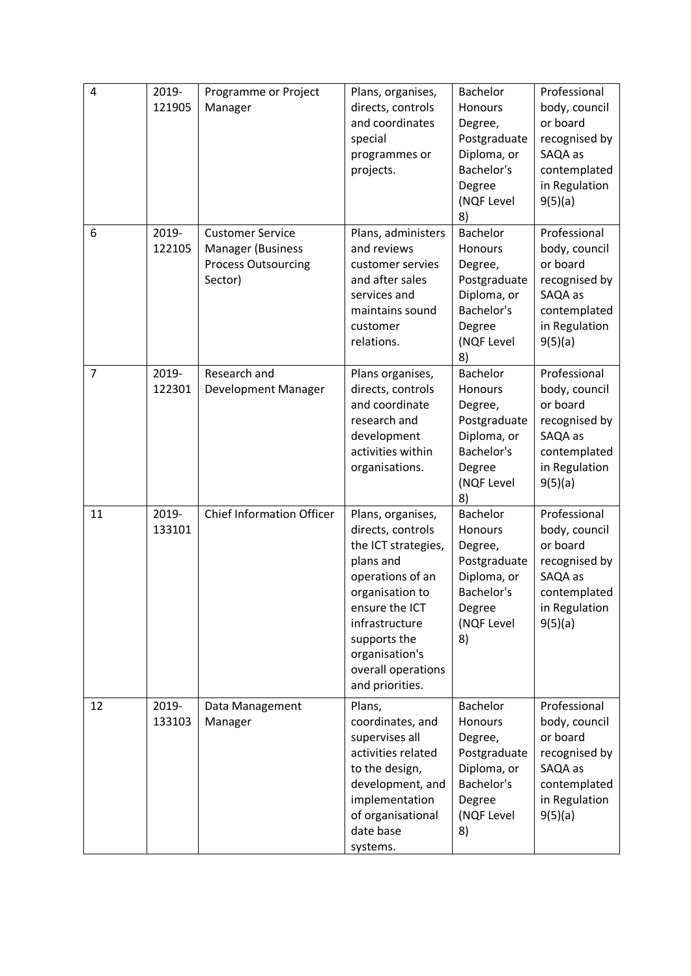| $\overline{4}$ | 2019-<br>121905 | Programme or Project<br>Manager                                                              | Plans, organises,<br>directs, controls<br>and coordinates<br>special<br>programmes or<br>projects.                                                                                                                               | <b>Bachelor</b><br>Honours<br>Degree,<br>Postgraduate<br>Diploma, or<br>Bachelor's<br>Degree<br>(NQF Level<br>8) | Professional<br>body, council<br>or board<br>recognised by<br>SAQA as<br>contemplated<br>in Regulation<br>9(5)(a) |
|----------------|-----------------|----------------------------------------------------------------------------------------------|----------------------------------------------------------------------------------------------------------------------------------------------------------------------------------------------------------------------------------|------------------------------------------------------------------------------------------------------------------|-------------------------------------------------------------------------------------------------------------------|
| 6              | 2019-<br>122105 | <b>Customer Service</b><br><b>Manager (Business</b><br><b>Process Outsourcing</b><br>Sector) | Plans, administers<br>and reviews<br>customer servies<br>and after sales<br>services and<br>maintains sound<br>customer<br>relations.                                                                                            | <b>Bachelor</b><br>Honours<br>Degree,<br>Postgraduate<br>Diploma, or<br>Bachelor's<br>Degree<br>(NQF Level<br>8) | Professional<br>body, council<br>or board<br>recognised by<br>SAQA as<br>contemplated<br>in Regulation<br>9(5)(a) |
| $\overline{7}$ | 2019-<br>122301 | Research and<br>Development Manager                                                          | Plans organises,<br>directs, controls<br>and coordinate<br>research and<br>development<br>activities within<br>organisations.                                                                                                    | <b>Bachelor</b><br>Honours<br>Degree,<br>Postgraduate<br>Diploma, or<br>Bachelor's<br>Degree<br>(NQF Level<br>8) | Professional<br>body, council<br>or board<br>recognised by<br>SAQA as<br>contemplated<br>in Regulation<br>9(5)(a) |
| 11             | 2019-<br>133101 | <b>Chief Information Officer</b>                                                             | Plans, organises,<br>directs, controls<br>the ICT strategies,<br>plans and<br>operations of an<br>organisation to<br>ensure the ICT<br>infrastructure<br>supports the<br>organisation's<br>overall operations<br>and priorities. | <b>Bachelor</b><br>Honours<br>Degree,<br>Postgraduate<br>Diploma, or<br>Bachelor's<br>Degree<br>(NQF Level<br>8) | Professional<br>body, council<br>or board<br>recognised by<br>SAQA as<br>contemplated<br>in Regulation<br>9(5)(a) |
| 12             | 2019-<br>133103 | Data Management<br>Manager                                                                   | Plans,<br>coordinates, and<br>supervises all<br>activities related<br>to the design,<br>development, and<br>implementation<br>of organisational<br>date base<br>systems.                                                         | <b>Bachelor</b><br>Honours<br>Degree,<br>Postgraduate<br>Diploma, or<br>Bachelor's<br>Degree<br>(NQF Level<br>8) | Professional<br>body, council<br>or board<br>recognised by<br>SAQA as<br>contemplated<br>in Regulation<br>9(5)(a) |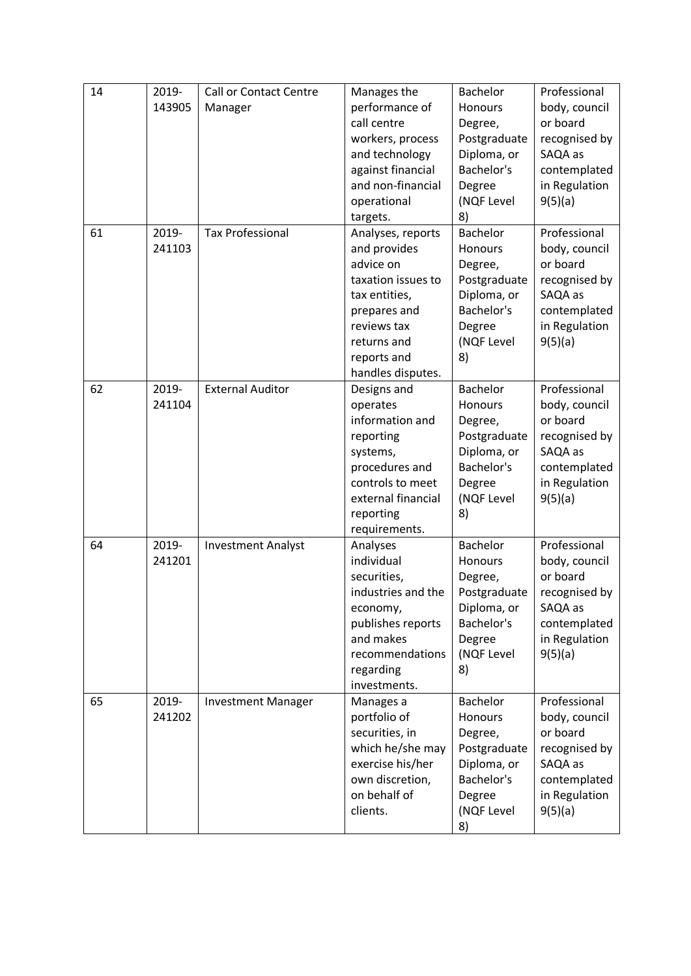| 14 | 2019-  | <b>Call or Contact Centre</b> | Manages the        | <b>Bachelor</b> | Professional  |
|----|--------|-------------------------------|--------------------|-----------------|---------------|
|    | 143905 | Manager                       | performance of     | Honours         | body, council |
|    |        |                               | call centre        | Degree,         | or board      |
|    |        |                               | workers, process   | Postgraduate    | recognised by |
|    |        |                               | and technology     | Diploma, or     | SAQA as       |
|    |        |                               | against financial  | Bachelor's      | contemplated  |
|    |        |                               | and non-financial  | Degree          | in Regulation |
|    |        |                               | operational        | (NQF Level      | 9(5)(a)       |
|    |        |                               | targets.           | 8)              |               |
| 61 | 2019-  | <b>Tax Professional</b>       | Analyses, reports  | <b>Bachelor</b> | Professional  |
|    | 241103 |                               | and provides       | Honours         | body, council |
|    |        |                               | advice on          | Degree,         | or board      |
|    |        |                               | taxation issues to | Postgraduate    | recognised by |
|    |        |                               | tax entities,      | Diploma, or     | SAQA as       |
|    |        |                               | prepares and       | Bachelor's      | contemplated  |
|    |        |                               | reviews tax        | Degree          | in Regulation |
|    |        |                               | returns and        | (NQF Level      | 9(5)(a)       |
|    |        |                               | reports and        | 8)              |               |
|    |        |                               | handles disputes.  |                 |               |
| 62 | 2019-  | <b>External Auditor</b>       | Designs and        | <b>Bachelor</b> | Professional  |
|    | 241104 |                               | operates           | Honours         | body, council |
|    |        |                               | information and    | Degree,         | or board      |
|    |        |                               | reporting          | Postgraduate    | recognised by |
|    |        |                               | systems,           | Diploma, or     | SAQA as       |
|    |        |                               | procedures and     | Bachelor's      | contemplated  |
|    |        |                               | controls to meet   | Degree          | in Regulation |
|    |        |                               | external financial | (NQF Level      | 9(5)(a)       |
|    |        |                               | reporting          | 8)              |               |
|    |        |                               | requirements.      |                 |               |
| 64 | 2019-  | <b>Investment Analyst</b>     | Analyses           | <b>Bachelor</b> | Professional  |
|    | 241201 |                               | individual         | Honours         | body, council |
|    |        |                               | securities,        | Degree,         | or board      |
|    |        |                               | industries and the | Postgraduate    | recognised by |
|    |        |                               | economy,           | Diploma, or     | SAQA as       |
|    |        |                               | publishes reports  | Bachelor's      | contemplated  |
|    |        |                               | and makes          | Degree          | in Regulation |
|    |        |                               | recommendations    | (NQF Level      | 9(5)(a)       |
|    |        |                               | regarding          | 8)              |               |
|    |        |                               | investments.       |                 |               |
| 65 | 2019-  | <b>Investment Manager</b>     | Manages a          | <b>Bachelor</b> | Professional  |
|    | 241202 |                               | portfolio of       | Honours         | body, council |
|    |        |                               | securities, in     | Degree,         | or board      |
|    |        |                               | which he/she may   | Postgraduate    | recognised by |
|    |        |                               | exercise his/her   | Diploma, or     | SAQA as       |
|    |        |                               | own discretion,    | Bachelor's      | contemplated  |
|    |        |                               | on behalf of       | Degree          | in Regulation |
|    |        |                               | clients.           | (NQF Level      | 9(5)(a)       |
|    |        |                               |                    | 8)              |               |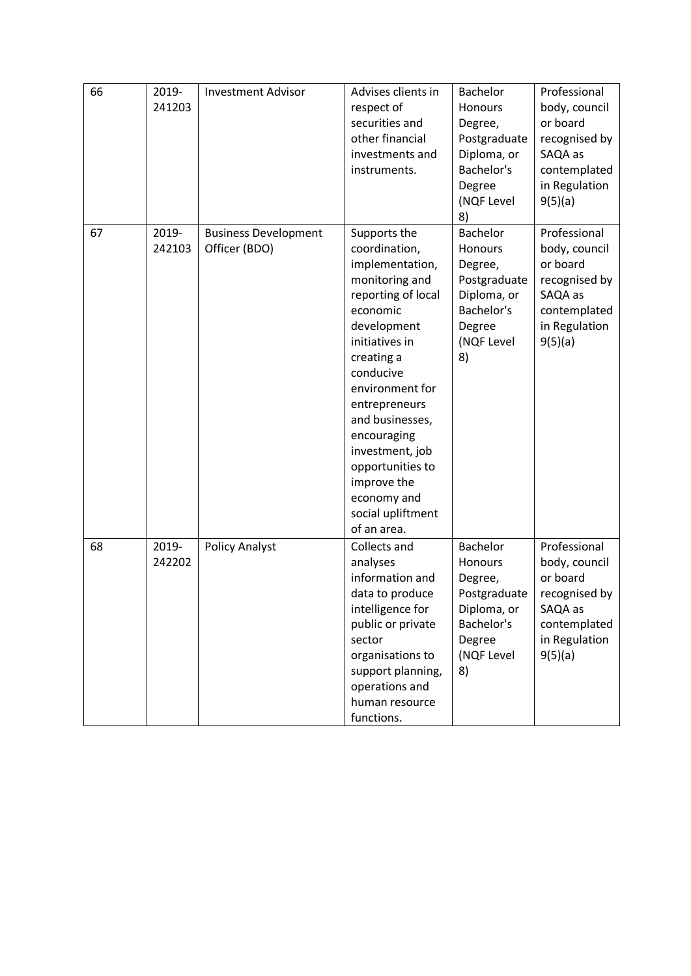| 66 | 2019-<br>241203 | <b>Investment Advisor</b>                    | Advises clients in<br>respect of<br>securities and<br>other financial<br>investments and<br>instruments.                                                                                                                                                                                                                                        | <b>Bachelor</b><br>Honours<br>Degree,<br>Postgraduate<br>Diploma, or<br>Bachelor's<br>Degree<br>(NQF Level<br>8)        | Professional<br>body, council<br>or board<br>recognised by<br>SAQA as<br>contemplated<br>in Regulation<br>9(5)(a) |
|----|-----------------|----------------------------------------------|-------------------------------------------------------------------------------------------------------------------------------------------------------------------------------------------------------------------------------------------------------------------------------------------------------------------------------------------------|-------------------------------------------------------------------------------------------------------------------------|-------------------------------------------------------------------------------------------------------------------|
| 67 | 2019-<br>242103 | <b>Business Development</b><br>Officer (BDO) | Supports the<br>coordination,<br>implementation,<br>monitoring and<br>reporting of local<br>economic<br>development<br>initiatives in<br>creating a<br>conducive<br>environment for<br>entrepreneurs<br>and businesses,<br>encouraging<br>investment, job<br>opportunities to<br>improve the<br>economy and<br>social upliftment<br>of an area. | <b>Bachelor</b><br>Honours<br>Degree,<br>Postgraduate<br>Diploma, or<br>Bachelor's<br>Degree<br>(NQF Level<br>8)        | Professional<br>body, council<br>or board<br>recognised by<br>SAQA as<br>contemplated<br>in Regulation<br>9(5)(a) |
| 68 | 2019-<br>242202 | <b>Policy Analyst</b>                        | Collects and<br>analyses<br>information and<br>data to produce<br>intelligence for<br>public or private<br>sector<br>organisations to<br>support planning,<br>operations and<br>human resource<br>functions.                                                                                                                                    | <b>Bachelor</b><br><b>Honours</b><br>Degree,<br>Postgraduate<br>Diploma, or<br>Bachelor's<br>Degree<br>(NQF Level<br>8) | Professional<br>body, council<br>or board<br>recognised by<br>SAQA as<br>contemplated<br>in Regulation<br>9(5)(a) |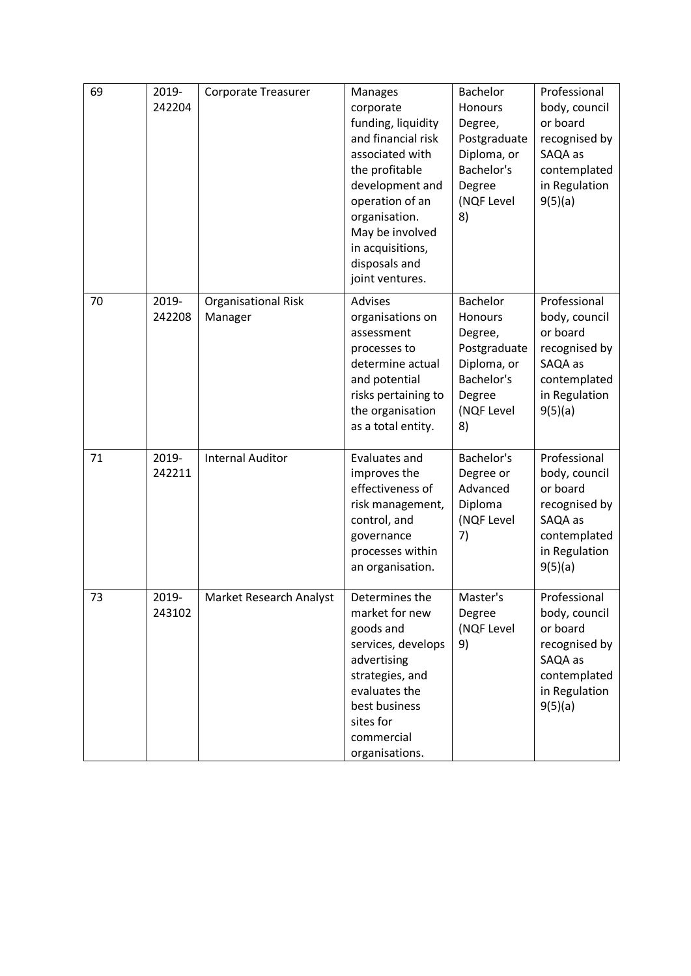| 69 | 2019-<br>242204 | <b>Corporate Treasurer</b>            | <b>Manages</b><br>corporate<br>funding, liquidity<br>and financial risk<br>associated with<br>the profitable<br>development and<br>operation of an<br>organisation.<br>May be involved<br>in acquisitions,<br>disposals and<br>joint ventures. | Bachelor<br><b>Honours</b><br>Degree,<br>Postgraduate<br>Diploma, or<br>Bachelor's<br>Degree<br>(NQF Level<br>8) | Professional<br>body, council<br>or board<br>recognised by<br>SAQA as<br>contemplated<br>in Regulation<br>9(5)(a) |
|----|-----------------|---------------------------------------|------------------------------------------------------------------------------------------------------------------------------------------------------------------------------------------------------------------------------------------------|------------------------------------------------------------------------------------------------------------------|-------------------------------------------------------------------------------------------------------------------|
| 70 | 2019-<br>242208 | <b>Organisational Risk</b><br>Manager | Advises<br>organisations on<br>assessment<br>processes to<br>determine actual<br>and potential<br>risks pertaining to<br>the organisation<br>as a total entity.                                                                                | <b>Bachelor</b><br>Honours<br>Degree,<br>Postgraduate<br>Diploma, or<br>Bachelor's<br>Degree<br>(NQF Level<br>8) | Professional<br>body, council<br>or board<br>recognised by<br>SAQA as<br>contemplated<br>in Regulation<br>9(5)(a) |
| 71 | 2019-<br>242211 | <b>Internal Auditor</b>               | Evaluates and<br>improves the<br>effectiveness of<br>risk management,<br>control, and<br>governance<br>processes within<br>an organisation.                                                                                                    | Bachelor's<br>Degree or<br>Advanced<br>Diploma<br>(NQF Level<br>7)                                               | Professional<br>body, council<br>or board<br>recognised by<br>SAQA as<br>contemplated<br>in Regulation<br>9(5)(a) |
| 73 | 2019-<br>243102 | Market Research Analyst               | Determines the<br>market for new<br>goods and<br>services, develops<br>advertising<br>strategies, and<br>evaluates the<br>best business<br>sites for<br>commercial<br>organisations.                                                           | Master's<br>Degree<br>(NQF Level<br>9)                                                                           | Professional<br>body, council<br>or board<br>recognised by<br>SAQA as<br>contemplated<br>in Regulation<br>9(5)(a) |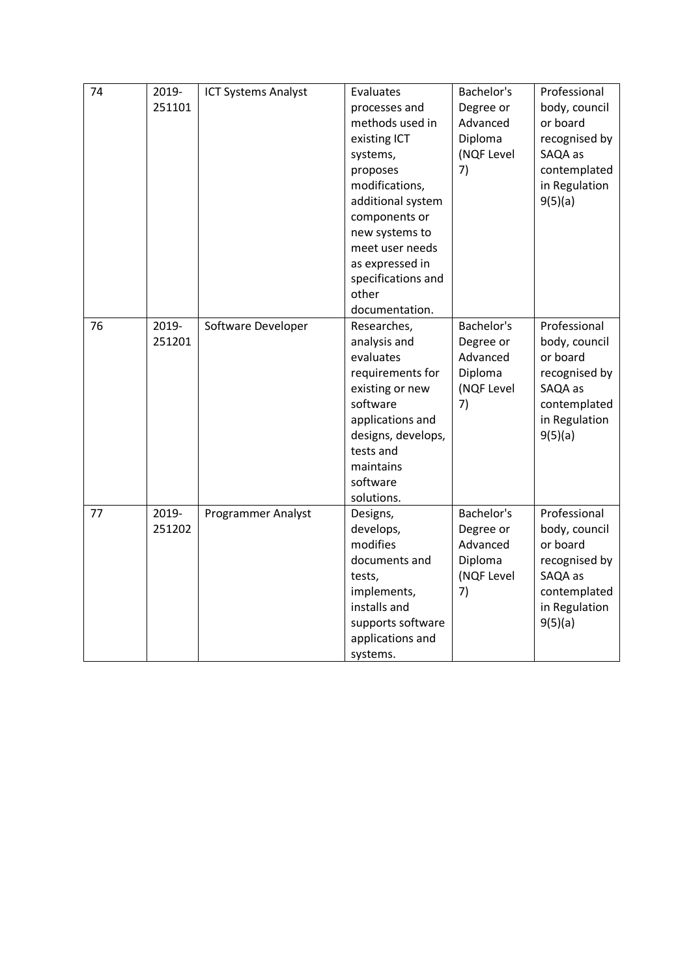| 74 | 2019-  |                            | Evaluates          | Bachelor's | Professional  |
|----|--------|----------------------------|--------------------|------------|---------------|
|    |        | <b>ICT Systems Analyst</b> |                    |            |               |
|    | 251101 |                            | processes and      | Degree or  | body, council |
|    |        |                            | methods used in    | Advanced   | or board      |
|    |        |                            | existing ICT       | Diploma    | recognised by |
|    |        |                            | systems,           | (NQF Level | SAQA as       |
|    |        |                            | proposes           | 7)         | contemplated  |
|    |        |                            | modifications,     |            | in Regulation |
|    |        |                            | additional system  |            | 9(5)(a)       |
|    |        |                            | components or      |            |               |
|    |        |                            | new systems to     |            |               |
|    |        |                            | meet user needs    |            |               |
|    |        |                            | as expressed in    |            |               |
|    |        |                            | specifications and |            |               |
|    |        |                            | other              |            |               |
|    |        |                            | documentation.     |            |               |
| 76 | 2019-  | Software Developer         | Researches,        | Bachelor's | Professional  |
|    | 251201 |                            | analysis and       | Degree or  | body, council |
|    |        |                            | evaluates          | Advanced   | or board      |
|    |        |                            | requirements for   | Diploma    | recognised by |
|    |        |                            | existing or new    | (NQF Level | SAQA as       |
|    |        |                            | software           | 7)         | contemplated  |
|    |        |                            | applications and   |            | in Regulation |
|    |        |                            | designs, develops, |            | 9(5)(a)       |
|    |        |                            | tests and          |            |               |
|    |        |                            | maintains          |            |               |
|    |        |                            | software           |            |               |
|    |        |                            | solutions.         |            |               |
| 77 | 2019-  | Programmer Analyst         | Designs,           | Bachelor's | Professional  |
|    | 251202 |                            | develops,          | Degree or  | body, council |
|    |        |                            | modifies           | Advanced   | or board      |
|    |        |                            | documents and      | Diploma    | recognised by |
|    |        |                            | tests,             | (NQF Level | SAQA as       |
|    |        |                            | implements,        | 7)         | contemplated  |
|    |        |                            | installs and       |            | in Regulation |
|    |        |                            | supports software  |            | 9(5)(a)       |
|    |        |                            | applications and   |            |               |
|    |        |                            | systems.           |            |               |